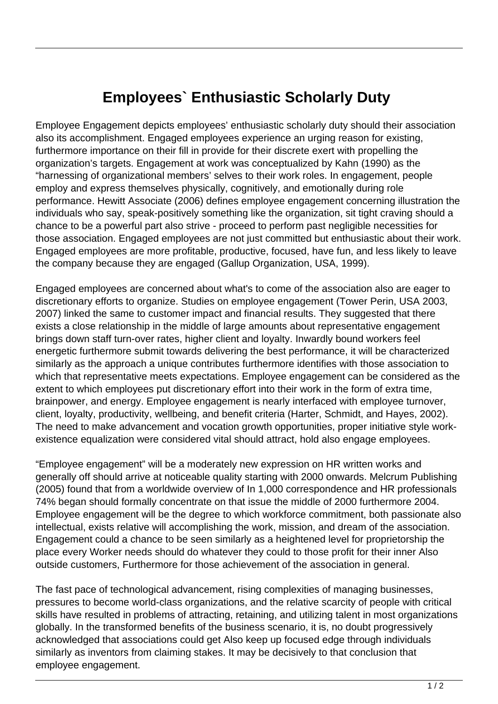## **Employees` Enthusiastic Scholarly Duty**

Employee Engagement depicts employees' enthusiastic scholarly duty should their association also its accomplishment. Engaged employees experience an urging reason for existing, furthermore importance on their fill in provide for their discrete exert with propelling the organization's targets. Engagement at work was conceptualized by Kahn (1990) as the "harnessing of organizational members' selves to their work roles. In engagement, people employ and express themselves physically, cognitively, and emotionally during role performance. Hewitt Associate (2006) defines employee engagement concerning illustration the individuals who say, speak-positively something like the organization, sit tight craving should a chance to be a powerful part also strive - proceed to perform past negligible necessities for those association. Engaged employees are not just committed but enthusiastic about their work. Engaged employees are more profitable, productive, focused, have fun, and less likely to leave the company because they are engaged (Gallup Organization, USA, 1999).

Engaged employees are concerned about what's to come of the association also are eager to discretionary efforts to organize. Studies on employee engagement (Tower Perin, USA 2003, 2007) linked the same to customer impact and financial results. They suggested that there exists a close relationship in the middle of large amounts about representative engagement brings down staff turn-over rates, higher client and loyalty. Inwardly bound workers feel energetic furthermore submit towards delivering the best performance, it will be characterized similarly as the approach a unique contributes furthermore identifies with those association to which that representative meets expectations. Employee engagement can be considered as the extent to which employees put discretionary effort into their work in the form of extra time, brainpower, and energy. Employee engagement is nearly interfaced with employee turnover, client, loyalty, productivity, wellbeing, and benefit criteria (Harter, Schmidt, and Hayes, 2002). The need to make advancement and vocation growth opportunities, proper initiative style workexistence equalization were considered vital should attract, hold also engage employees.

"Employee engagement" will be a moderately new expression on HR written works and generally off should arrive at noticeable quality starting with 2000 onwards. Melcrum Publishing (2005) found that from a worldwide overview of In 1,000 correspondence and HR professionals 74% began should formally concentrate on that issue the middle of 2000 furthermore 2004. Employee engagement will be the degree to which workforce commitment, both passionate also intellectual, exists relative will accomplishing the work, mission, and dream of the association. Engagement could a chance to be seen similarly as a heightened level for proprietorship the place every Worker needs should do whatever they could to those profit for their inner Also outside customers, Furthermore for those achievement of the association in general.

The fast pace of technological advancement, rising complexities of managing businesses, pressures to become world-class organizations, and the relative scarcity of people with critical skills have resulted in problems of attracting, retaining, and utilizing talent in most organizations globally. In the transformed benefits of the business scenario, it is, no doubt progressively acknowledged that associations could get Also keep up focused edge through individuals similarly as inventors from claiming stakes. It may be decisively to that conclusion that employee engagement.